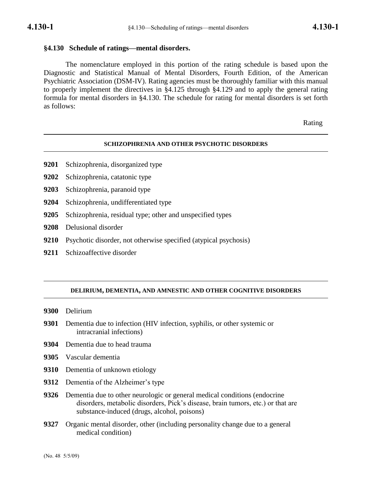# **§4.130 Schedule of ratings—mental disorders.**

The nomenclature employed in this portion of the rating schedule is based upon the Diagnostic and Statistical Manual of Mental Disorders, Fourth Edition, of the American Psychiatric Association (DSM-IV). Rating agencies must be thoroughly familiar with this manual to properly implement the directives in §4.125 through §4.129 and to apply the general rating formula for mental disorders in §4.130. The schedule for rating for mental disorders is set forth as follows:

Rating

## **SCHIZOPHRENIA AND OTHER PSYCHOTIC DISORDERS**

- **9201** Schizophrenia, disorganized type
- **9202** Schizophrenia, catatonic type
- **9203** Schizophrenia, paranoid type
- **9204** Schizophrenia, undifferentiated type
- **9205** Schizophrenia, residual type; other and unspecified types
- **9208** Delusional disorder
- **9210** Psychotic disorder, not otherwise specified (atypical psychosis)
- **9211** Schizoaffective disorder

## **DELIRIUM, DEMENTIA, AND AMNESTIC AND OTHER COGNITIVE DISORDERS**

- **9300** Delirium
- **9301** Dementia due to infection (HIV infection, syphilis, or other systemic or intracranial infections)
- **9304** Dementia due to head trauma
- **9305** Vascular dementia
- **9310** Dementia of unknown etiology
- **9312** Dementia of the Alzheimer's type
- **9326** Dementia due to other neurologic or general medical conditions (endocrine disorders, metabolic disorders, Pick's disease, brain tumors, etc.) or that are substance-induced (drugs, alcohol, poisons)
- **9327** Organic mental disorder, other (including personality change due to a general medical condition)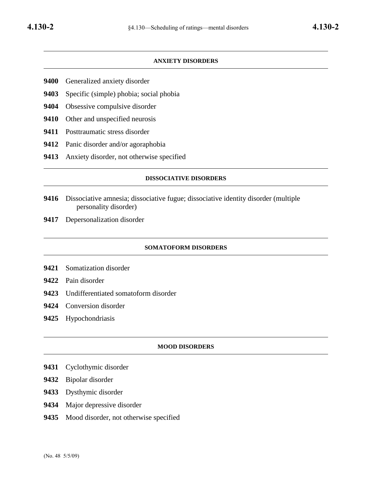## **ANXIETY DISORDERS**

- Generalized anxiety disorder
- Specific (simple) phobia; social phobia
- Obsessive compulsive disorder
- Other and unspecified neurosis
- Posttraumatic stress disorder
- Panic disorder and/or agoraphobia
- Anxiety disorder, not otherwise specified

## **DISSOCIATIVE DISORDERS**

- Dissociative amnesia; dissociative fugue; dissociative identity disorder (multiple personality disorder)
- Depersonalization disorder

### **SOMATOFORM DISORDERS**

- Somatization disorder
- Pain disorder
- Undifferentiated somatoform disorder
- Conversion disorder
- Hypochondriasis

#### **MOOD DISORDERS**

- Cyclothymic disorder
- Bipolar disorder
- Dysthymic disorder
- Major depressive disorder
- Mood disorder, not otherwise specified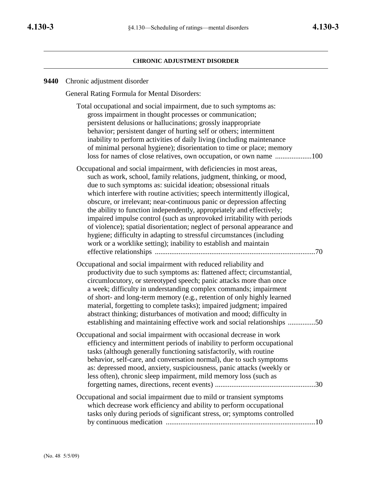### **CHRONIC ADJUSTMENT DISORDER**

### **9440** Chronic adjustment disorder

General Rating Formula for Mental Disorders:

Total occupational and social impairment, due to such symptoms as: gross impairment in thought processes or communication; persistent delusions or hallucinations; grossly inappropriate behavior; persistent danger of hurting self or others; intermittent inability to perform activities of daily living (including maintenance of minimal personal hygiene); disorientation to time or place; memory loss for names of close relatives, own occupation, or own name ....................100 Occupational and social impairment, with deficiencies in most areas, such as work, school, family relations, judgment, thinking, or mood, due to such symptoms as: suicidal ideation; obsessional rituals which interfere with routine activities; speech intermittently illogical, obscure, or irrelevant; near-continuous panic or depression affecting the ability to function independently, appropriately and effectively; impaired impulse control (such as unprovoked irritability with periods of violence); spatial disorientation; neglect of personal appearance and hygiene; difficulty in adapting to stressful circumstances (including work or a worklike setting); inability to establish and maintain effective relationships ........................................................................................70 Occupational and social impairment with reduced reliability and productivity due to such symptoms as: flattened affect; circumstantial, circumlocutory, or stereotyped speech; panic attacks more than once a week; difficulty in understanding complex commands; impairment of short- and long-term memory (e.g., retention of only highly learned material, forgetting to complete tasks); impaired judgment; impaired abstract thinking; disturbances of motivation and mood; difficulty in establishing and maintaining effective work and social relationships ...............50 Occupational and social impairment with occasional decrease in work efficiency and intermittent periods of inability to perform occupational tasks (although generally functioning satisfactorily, with routine behavior, self-care, and conversation normal), due to such symptoms as: depressed mood, anxiety, suspiciousness, panic attacks (weekly or less often), chronic sleep impairment, mild memory loss (such as forgetting names, directions, recent events) .......................................................30 Occupational and social impairment due to mild or transient symptoms which decrease work efficiency and ability to perform occupational tasks only during periods of significant stress, or; symptoms controlled by continuous medication ..................................................................................10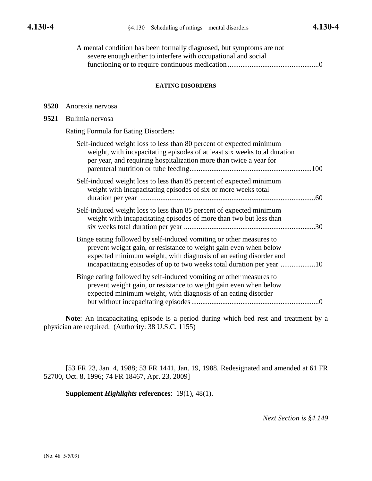| A mental condition has been formally diagnosed, but symptoms are not |  |
|----------------------------------------------------------------------|--|
| severe enough either to interfere with occupational and social       |  |
|                                                                      |  |

## **EATING DISORDERS**

**9520** Anorexia nervosa

**9521** Bulimia nervosa

Rating Formula for Eating Disorders:

| Self-induced weight loss to less than 80 percent of expected minimum<br>weight, with incapacitating episodes of at least six weeks total duration<br>per year, and requiring hospitalization more than twice a year for |     |
|-------------------------------------------------------------------------------------------------------------------------------------------------------------------------------------------------------------------------|-----|
| Self-induced weight loss to less than 85 percent of expected minimum<br>weight with incapacitating episodes of six or more weeks total                                                                                  | .60 |
| Self-induced weight loss to less than 85 percent of expected minimum<br>weight with incapacitating episodes of more than two but less than                                                                              | .30 |
| Binge eating followed by self-induced vomiting or other measures to<br>prevent weight gain, or resistance to weight gain even when below<br>expected minimum weight, with diagnosis of an eating disorder and           |     |
| Binge eating followed by self-induced vomiting or other measures to<br>prevent weight gain, or resistance to weight gain even when below<br>expected minimum weight, with diagnosis of an eating disorder               |     |

**Note**: An incapacitating episode is a period during which bed rest and treatment by a physician are required. (Authority: 38 U.S.C. 1155)

[53 FR 23, Jan. 4, 1988; 53 FR 1441, Jan. 19, 1988. Redesignated and amended at 61 FR 52700, Oct. 8, 1996; 74 FR 18467, Apr. 23, 2009]

**Supplement** *Highlights* **references**: 19(1), 48(1).

*Next Section is §4.149*